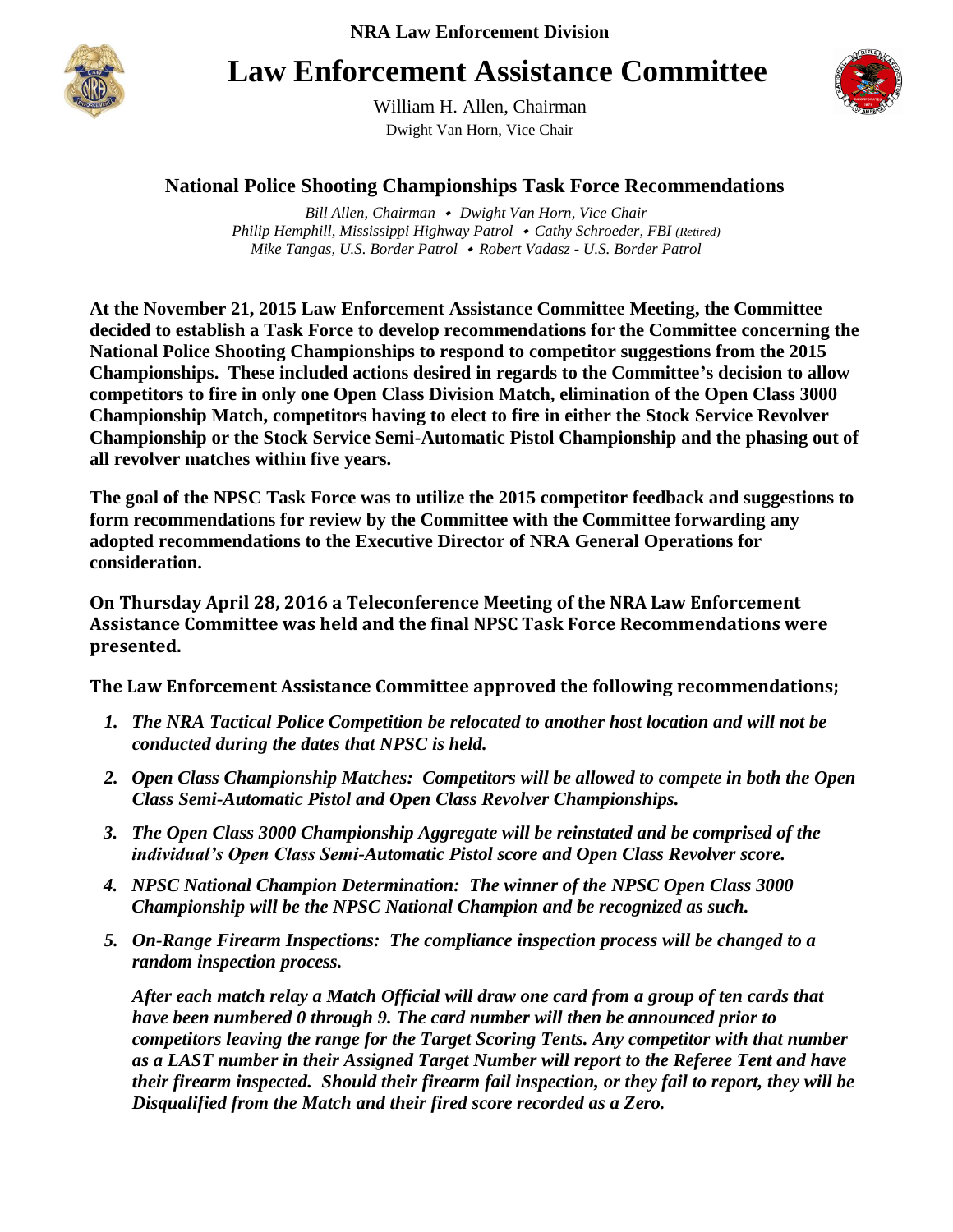

## **Law Enforcement Assistance Committee**



William H. Allen, Chairman Dwight Van Horn, Vice Chair

## **National Police Shooting Championships Task Force Recommendations**

*Bill Allen, Chairman Dwight Van Horn, Vice Chair Philip Hemphill, Mississippi Highway Patrol Cathy Schroeder, FBI (Retired) Mike Tangas, U.S. Border Patrol Robert Vadasz - U.S. Border Patrol*

**At the November 21, 2015 Law Enforcement Assistance Committee Meeting, the Committee decided to establish a Task Force to develop recommendations for the Committee concerning the National Police Shooting Championships to respond to competitor suggestions from the 2015 Championships. These included actions desired in regards to the Committee's decision to allow competitors to fire in only one Open Class Division Match, elimination of the Open Class 3000 Championship Match, competitors having to elect to fire in either the Stock Service Revolver Championship or the Stock Service Semi-Automatic Pistol Championship and the phasing out of all revolver matches within five years.**

**The goal of the NPSC Task Force was to utilize the 2015 competitor feedback and suggestions to form recommendations for review by the Committee with the Committee forwarding any adopted recommendations to the Executive Director of NRA General Operations for consideration.** 

**On Thursday April 28, 2016 a Teleconference Meeting of the NRA Law Enforcement Assistance Committee was held and the final NPSC Task Force Recommendations were presented.**

**The Law Enforcement Assistance Committee approved the following recommendations;**

- *1. The NRA Tactical Police Competition be relocated to another host location and will not be conducted during the dates that NPSC is held.*
- *2. Open Class Championship Matches: Competitors will be allowed to compete in both the Open Class Semi-Automatic Pistol and Open Class Revolver Championships.*
- *3. The Open Class 3000 Championship Aggregate will be reinstated and be comprised of the individual's Open Class Semi-Automatic Pistol score and Open Class Revolver score.*
- *4. NPSC National Champion Determination: The winner of the NPSC Open Class 3000 Championship will be the NPSC National Champion and be recognized as such.*
- *5. On-Range Firearm Inspections: The compliance inspection process will be changed to a random inspection process.*

*After each match relay a Match Official will draw one card from a group of ten cards that have been numbered 0 through 9. The card number will then be announced prior to competitors leaving the range for the Target Scoring Tents. Any competitor with that number as a LAST number in their Assigned Target Number will report to the Referee Tent and have their firearm inspected. Should their firearm fail inspection, or they fail to report, they will be Disqualified from the Match and their fired score recorded as a Zero.*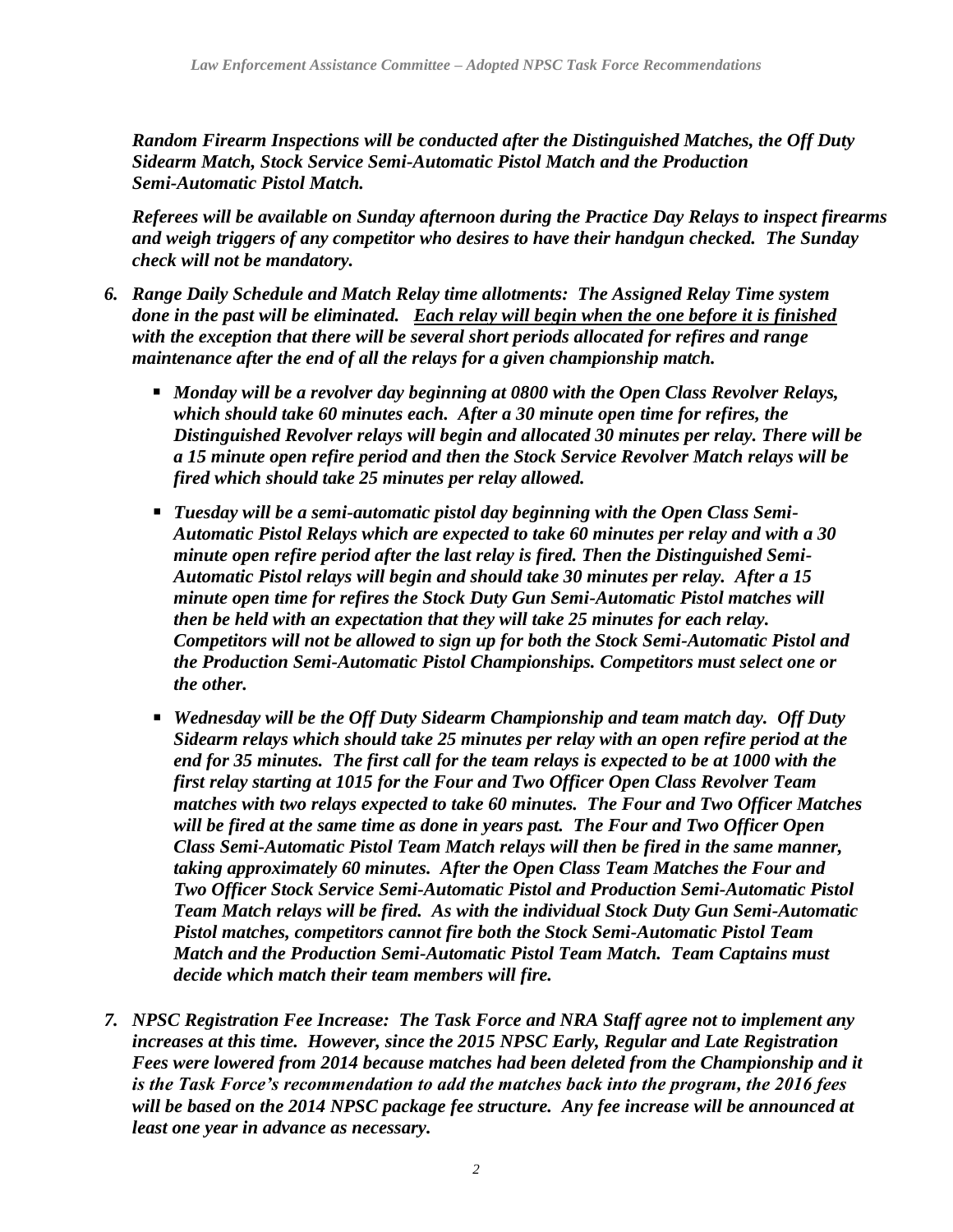*Random Firearm Inspections will be conducted after the Distinguished Matches, the Off Duty Sidearm Match, Stock Service Semi-Automatic Pistol Match and the Production Semi-Automatic Pistol Match.* 

*Referees will be available on Sunday afternoon during the Practice Day Relays to inspect firearms and weigh triggers of any competitor who desires to have their handgun checked. The Sunday check will not be mandatory.*

- *6. Range Daily Schedule and Match Relay time allotments: The Assigned Relay Time system done in the past will be eliminated. Each relay will begin when the one before it is finished with the exception that there will be several short periods allocated for refires and range maintenance after the end of all the relays for a given championship match.* 
	- *Monday will be a revolver day beginning at 0800 with the Open Class Revolver Relays, which should take 60 minutes each. After a 30 minute open time for refires, the Distinguished Revolver relays will begin and allocated 30 minutes per relay. There will be a 15 minute open refire period and then the Stock Service Revolver Match relays will be fired which should take 25 minutes per relay allowed.*
	- *Tuesday will be a semi-automatic pistol day beginning with the Open Class Semi-Automatic Pistol Relays which are expected to take 60 minutes per relay and with a 30 minute open refire period after the last relay is fired. Then the Distinguished Semi-Automatic Pistol relays will begin and should take 30 minutes per relay. After a 15 minute open time for refires the Stock Duty Gun Semi-Automatic Pistol matches will then be held with an expectation that they will take 25 minutes for each relay. Competitors will not be allowed to sign up for both the Stock Semi-Automatic Pistol and the Production Semi-Automatic Pistol Championships. Competitors must select one or the other.*
	- *Wednesday will be the Off Duty Sidearm Championship and team match day. Off Duty Sidearm relays which should take 25 minutes per relay with an open refire period at the end for 35 minutes. The first call for the team relays is expected to be at 1000 with the first relay starting at 1015 for the Four and Two Officer Open Class Revolver Team matches with two relays expected to take 60 minutes. The Four and Two Officer Matches will be fired at the same time as done in years past. The Four and Two Officer Open Class Semi-Automatic Pistol Team Match relays will then be fired in the same manner, taking approximately 60 minutes. After the Open Class Team Matches the Four and Two Officer Stock Service Semi-Automatic Pistol and Production Semi-Automatic Pistol Team Match relays will be fired. As with the individual Stock Duty Gun Semi-Automatic Pistol matches, competitors cannot fire both the Stock Semi-Automatic Pistol Team Match and the Production Semi-Automatic Pistol Team Match. Team Captains must decide which match their team members will fire.*
- *7. NPSC Registration Fee Increase: The Task Force and NRA Staff agree not to implement any increases at this time. However, since the 2015 NPSC Early, Regular and Late Registration Fees were lowered from 2014 because matches had been deleted from the Championship and it is the Task Force's recommendation to add the matches back into the program, the 2016 fees will be based on the 2014 NPSC package fee structure. Any fee increase will be announced at least one year in advance as necessary.*